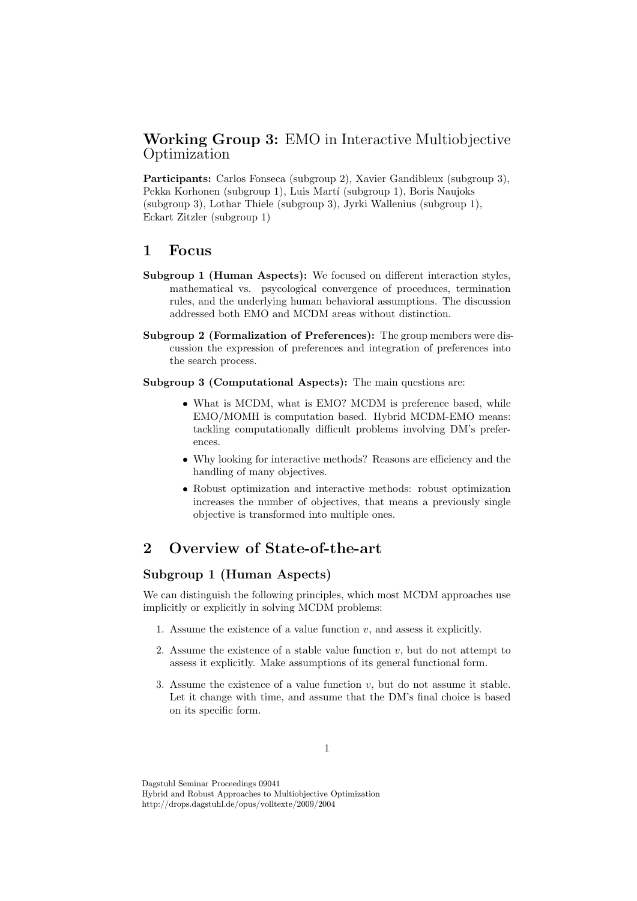## Working Group 3: EMO in Interactive Multiobjective Optimization

Participants: Carlos Fonseca (subgroup 2), Xavier Gandibleux (subgroup 3), Pekka Korhonen (subgroup 1), Luis Martí (subgroup 1), Boris Naujoks (subgroup 3), Lothar Thiele (subgroup 3), Jyrki Wallenius (subgroup 1), Eckart Zitzler (subgroup 1)

### 1 Focus

- Subgroup 1 (Human Aspects): We focused on different interaction styles, mathematical vs. psycological convergence of proceduces, termination rules, and the underlying human behavioral assumptions. The discussion addressed both EMO and MCDM areas without distinction.
- Subgroup 2 (Formalization of Preferences): The group members were discussion the expression of preferences and integration of preferences into the search process.

Subgroup 3 (Computational Aspects): The main questions are:

- What is MCDM, what is EMO? MCDM is preference based, while EMO/MOMH is computation based. Hybrid MCDM-EMO means: tackling computationally difficult problems involving DM's preferences.
- Why looking for interactive methods? Reasons are efficiency and the handling of many objectives.
- Robust optimization and interactive methods: robust optimization increases the number of objectives, that means a previously single objective is transformed into multiple ones.

# 2 Overview of State-of-the-art

### Subgroup 1 (Human Aspects)

We can distinguish the following principles, which most MCDM approaches use implicitly or explicitly in solving MCDM problems:

- 1. Assume the existence of a value function  $v$ , and assess it explicitly.
- 2. Assume the existence of a stable value function  $v$ , but do not attempt to assess it explicitly. Make assumptions of its general functional form.
- 3. Assume the existence of a value function  $v$ , but do not assume it stable. Let it change with time, and assume that the DM's final choice is based on its specific form.

Dagstuhl Seminar Proceedings 09041 Hybrid and Robust Approaches to Multiobjective Optimization http://drops.dagstuhl.de/opus/volltexte/2009/2004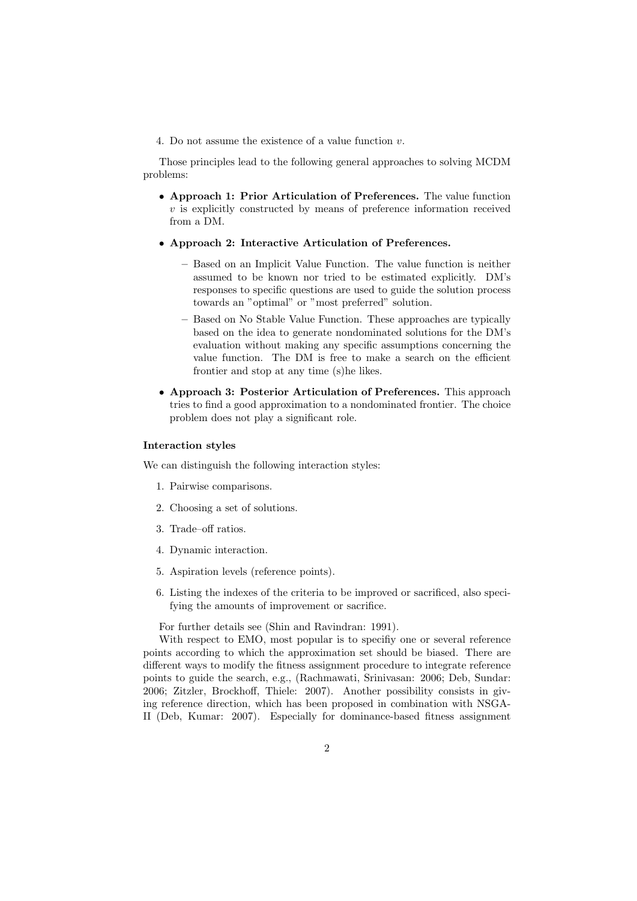4. Do not assume the existence of a value function  $v$ .

Those principles lead to the following general approaches to solving MCDM problems:

- Approach 1: Prior Articulation of Preferences. The value function  $v$  is explicitly constructed by means of preference information received from a DM.
- Approach 2: Interactive Articulation of Preferences.
	- Based on an Implicit Value Function. The value function is neither assumed to be known nor tried to be estimated explicitly. DM's responses to specific questions are used to guide the solution process towards an "optimal" or "most preferred" solution.
	- Based on No Stable Value Function. These approaches are typically based on the idea to generate nondominated solutions for the DM's evaluation without making any specific assumptions concerning the value function. The DM is free to make a search on the efficient frontier and stop at any time (s)he likes.
- Approach 3: Posterior Articulation of Preferences. This approach tries to find a good approximation to a nondominated frontier. The choice problem does not play a significant role.

#### Interaction styles

We can distinguish the following interaction styles:

- 1. Pairwise comparisons.
- 2. Choosing a set of solutions.
- 3. Trade–off ratios.
- 4. Dynamic interaction.
- 5. Aspiration levels (reference points).
- 6. Listing the indexes of the criteria to be improved or sacrificed, also specifying the amounts of improvement or sacrifice.

For further details see (Shin and Ravindran: 1991).

With respect to EMO, most popular is to specifiy one or several reference points according to which the approximation set should be biased. There are different ways to modify the fitness assignment procedure to integrate reference points to guide the search, e.g., (Rachmawati, Srinivasan: 2006; Deb, Sundar: 2006; Zitzler, Brockhoff, Thiele: 2007). Another possibility consists in giving reference direction, which has been proposed in combination with NSGA-II (Deb, Kumar: 2007). Especially for dominance-based fitness assignment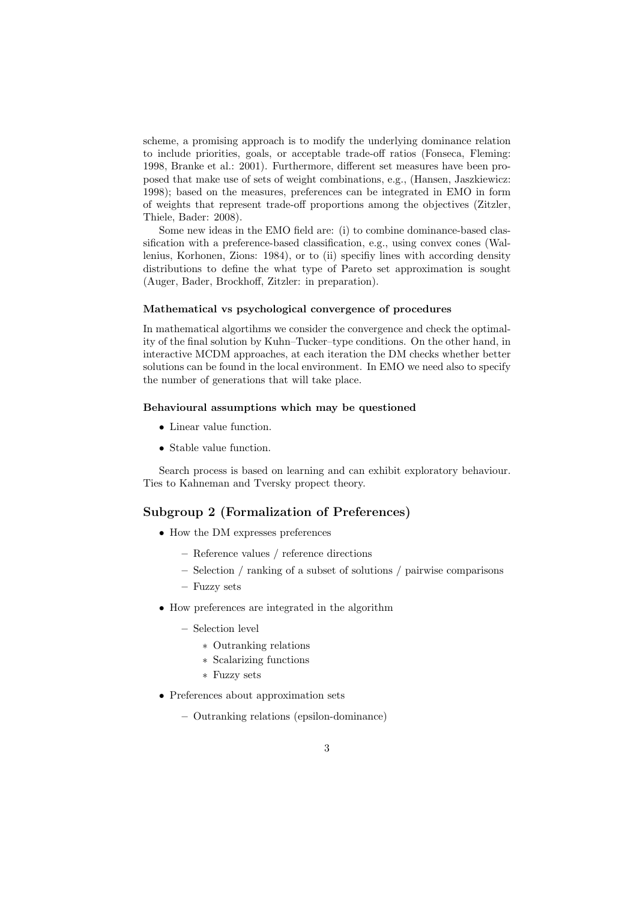scheme, a promising approach is to modify the underlying dominance relation to include priorities, goals, or acceptable trade-off ratios (Fonseca, Fleming: 1998, Branke et al.: 2001). Furthermore, different set measures have been proposed that make use of sets of weight combinations, e.g., (Hansen, Jaszkiewicz: 1998); based on the measures, preferences can be integrated in EMO in form of weights that represent trade-off proportions among the objectives (Zitzler, Thiele, Bader: 2008).

Some new ideas in the EMO field are: (i) to combine dominance-based classification with a preference-based classification, e.g., using convex cones (Wallenius, Korhonen, Zions: 1984), or to (ii) specifiy lines with according density distributions to define the what type of Pareto set approximation is sought (Auger, Bader, Brockhoff, Zitzler: in preparation).

#### Mathematical vs psychological convergence of procedures

In mathematical algortihms we consider the convergence and check the optimality of the final solution by Kuhn–Tucker–type conditions. On the other hand, in interactive MCDM approaches, at each iteration the DM checks whether better solutions can be found in the local environment. In EMO we need also to specify the number of generations that will take place.

#### Behavioural assumptions which may be questioned

- Linear value function.
- Stable value function.

Search process is based on learning and can exhibit exploratory behaviour. Ties to Kahneman and Tversky propect theory.

#### Subgroup 2 (Formalization of Preferences)

- How the DM expresses preferences
	- Reference values / reference directions
	- Selection / ranking of a subset of solutions / pairwise comparisons
	- Fuzzy sets
- How preferences are integrated in the algorithm
	- Selection level
		- ∗ Outranking relations
		- ∗ Scalarizing functions
		- ∗ Fuzzy sets
- Preferences about approximation sets
	- Outranking relations (epsilon-dominance)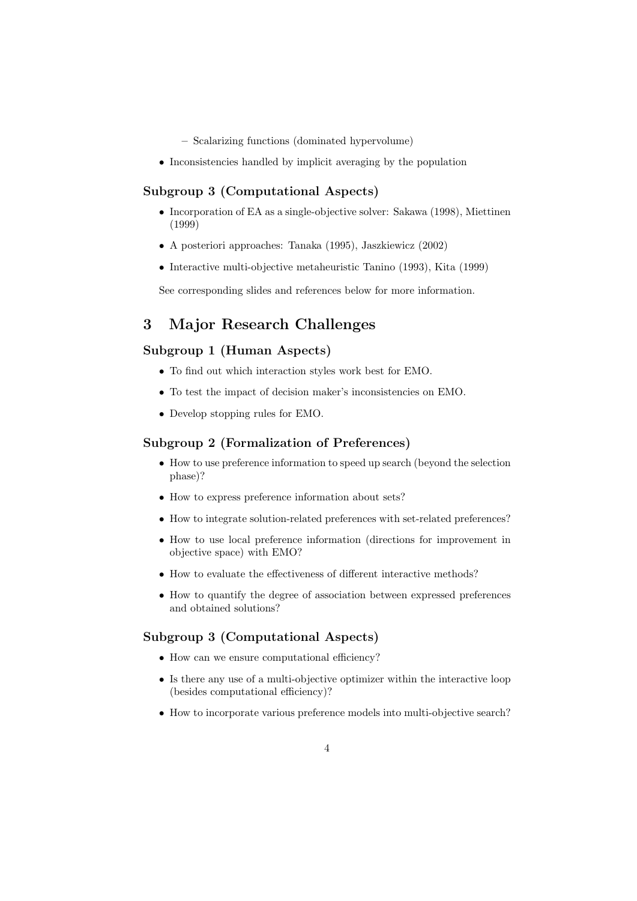- Scalarizing functions (dominated hypervolume)
- Inconsistencies handled by implicit averaging by the population

### Subgroup 3 (Computational Aspects)

- Incorporation of EA as a single-objective solver: Sakawa (1998), Miettinen (1999)
- A posteriori approaches: Tanaka (1995), Jaszkiewicz (2002)
- Interactive multi-objective metaheuristic Tanino (1993), Kita (1999)

See corresponding slides and references below for more information.

# 3 Major Research Challenges

### Subgroup 1 (Human Aspects)

- To find out which interaction styles work best for EMO.
- To test the impact of decision maker's inconsistencies on EMO.
- Develop stopping rules for EMO.

### Subgroup 2 (Formalization of Preferences)

- How to use preference information to speed up search (beyond the selection phase)?
- How to express preference information about sets?
- How to integrate solution-related preferences with set-related preferences?
- How to use local preference information (directions for improvement in objective space) with EMO?
- How to evaluate the effectiveness of different interactive methods?
- How to quantify the degree of association between expressed preferences and obtained solutions?

### Subgroup 3 (Computational Aspects)

- How can we ensure computational efficiency?
- Is there any use of a multi-objective optimizer within the interactive loop (besides computational efficiency)?
- How to incorporate various preference models into multi-objective search?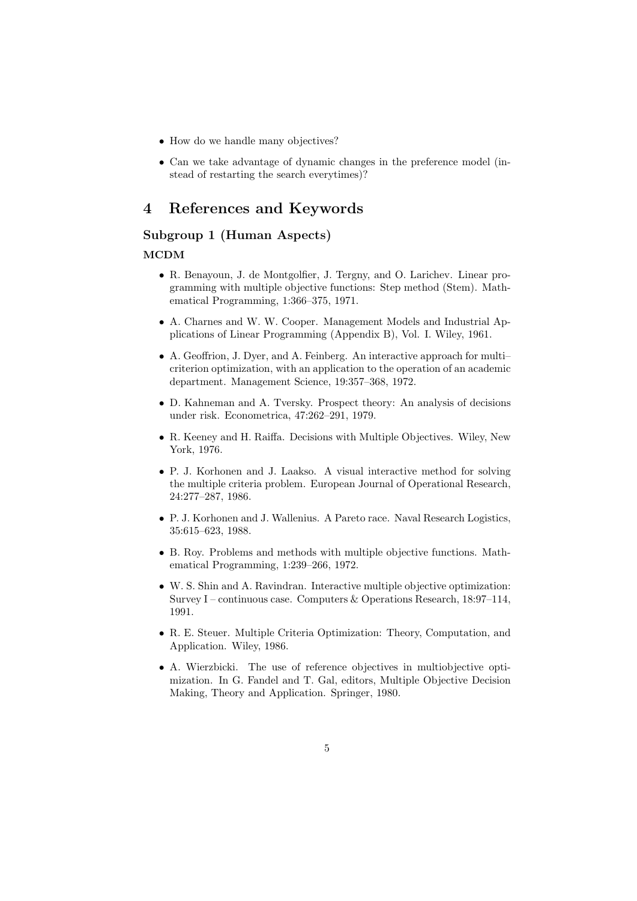- How do we handle many objectives?
- Can we take advantage of dynamic changes in the preference model (instead of restarting the search everytimes)?

## 4 References and Keywords

## Subgroup 1 (Human Aspects)

#### MCDM

- R. Benayoun, J. de Montgolfier, J. Tergny, and O. Larichev. Linear programming with multiple objective functions: Step method (Stem). Mathematical Programming, 1:366–375, 1971.
- A. Charnes and W. W. Cooper. Management Models and Industrial Applications of Linear Programming (Appendix B), Vol. I. Wiley, 1961.
- A. Geoffrion, J. Dyer, and A. Feinberg. An interactive approach for multi– criterion optimization, with an application to the operation of an academic department. Management Science, 19:357–368, 1972.
- D. Kahneman and A. Tversky. Prospect theory: An analysis of decisions under risk. Econometrica, 47:262–291, 1979.
- R. Keeney and H. Raiffa. Decisions with Multiple Objectives. Wiley, New York, 1976.
- P. J. Korhonen and J. Laakso. A visual interactive method for solving the multiple criteria problem. European Journal of Operational Research, 24:277–287, 1986.
- P. J. Korhonen and J. Wallenius. A Pareto race. Naval Research Logistics, 35:615–623, 1988.
- B. Roy. Problems and methods with multiple objective functions. Mathematical Programming, 1:239–266, 1972.
- W. S. Shin and A. Ravindran. Interactive multiple objective optimization: Survey I – continuous case. Computers & Operations Research, 18:97–114, 1991.
- R. E. Steuer. Multiple Criteria Optimization: Theory, Computation, and Application. Wiley, 1986.
- A. Wierzbicki. The use of reference objectives in multiobjective optimization. In G. Fandel and T. Gal, editors, Multiple Objective Decision Making, Theory and Application. Springer, 1980.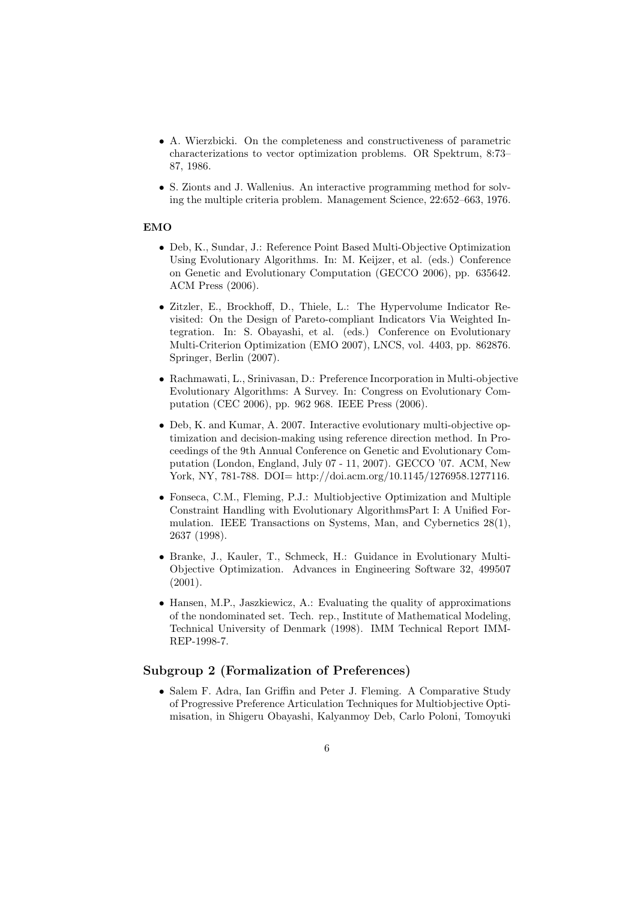- A. Wierzbicki. On the completeness and constructiveness of parametric characterizations to vector optimization problems. OR Spektrum, 8:73– 87, 1986.
- S. Zionts and J. Wallenius. An interactive programming method for solving the multiple criteria problem. Management Science, 22:652–663, 1976.

#### EMO

- Deb, K., Sundar, J.: Reference Point Based Multi-Objective Optimization Using Evolutionary Algorithms. In: M. Keijzer, et al. (eds.) Conference on Genetic and Evolutionary Computation (GECCO 2006), pp. 635642. ACM Press (2006).
- Zitzler, E., Brockhoff, D., Thiele, L.: The Hypervolume Indicator Revisited: On the Design of Pareto-compliant Indicators Via Weighted Integration. In: S. Obayashi, et al. (eds.) Conference on Evolutionary Multi-Criterion Optimization (EMO 2007), LNCS, vol. 4403, pp. 862876. Springer, Berlin (2007).
- Rachmawati, L., Srinivasan, D.: Preference Incorporation in Multi-objective Evolutionary Algorithms: A Survey. In: Congress on Evolutionary Computation (CEC 2006), pp. 962 968. IEEE Press (2006).
- Deb, K. and Kumar, A. 2007. Interactive evolutionary multi-objective optimization and decision-making using reference direction method. In Proceedings of the 9th Annual Conference on Genetic and Evolutionary Computation (London, England, July 07 - 11, 2007). GECCO '07. ACM, New York, NY, 781-788. DOI= http://doi.acm.org/10.1145/1276958.1277116.
- Fonseca, C.M., Fleming, P.J.: Multiobjective Optimization and Multiple Constraint Handling with Evolutionary AlgorithmsPart I: A Unified Formulation. IEEE Transactions on Systems, Man, and Cybernetics 28(1), 2637 (1998).
- Branke, J., Kauler, T., Schmeck, H.: Guidance in Evolutionary Multi-Objective Optimization. Advances in Engineering Software 32, 499507 (2001).
- Hansen, M.P., Jaszkiewicz, A.: Evaluating the quality of approximations of the nondominated set. Tech. rep., Institute of Mathematical Modeling, Technical University of Denmark (1998). IMM Technical Report IMM-REP-1998-7.

#### Subgroup 2 (Formalization of Preferences)

• Salem F. Adra, Ian Griffin and Peter J. Fleming. A Comparative Study of Progressive Preference Articulation Techniques for Multiobjective Optimisation, in Shigeru Obayashi, Kalyanmoy Deb, Carlo Poloni, Tomoyuki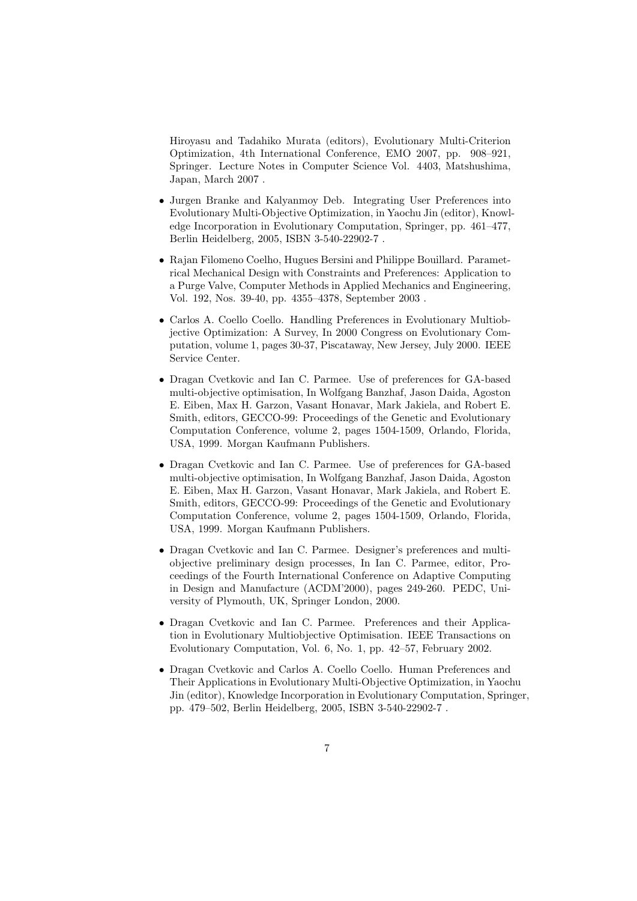Hiroyasu and Tadahiko Murata (editors), Evolutionary Multi-Criterion Optimization, 4th International Conference, EMO 2007, pp. 908–921, Springer. Lecture Notes in Computer Science Vol. 4403, Matshushima, Japan, March 2007 .

- Jurgen Branke and Kalyanmoy Deb. Integrating User Preferences into Evolutionary Multi-Objective Optimization, in Yaochu Jin (editor), Knowledge Incorporation in Evolutionary Computation, Springer, pp. 461–477, Berlin Heidelberg, 2005, ISBN 3-540-22902-7 .
- Rajan Filomeno Coelho, Hugues Bersini and Philippe Bouillard. Parametrical Mechanical Design with Constraints and Preferences: Application to a Purge Valve, Computer Methods in Applied Mechanics and Engineering, Vol. 192, Nos. 39-40, pp. 4355–4378, September 2003 .
- Carlos A. Coello Coello. Handling Preferences in Evolutionary Multiobjective Optimization: A Survey, In 2000 Congress on Evolutionary Computation, volume 1, pages 30-37, Piscataway, New Jersey, July 2000. IEEE Service Center.
- Dragan Cvetkovic and Ian C. Parmee. Use of preferences for GA-based multi-objective optimisation, In Wolfgang Banzhaf, Jason Daida, Agoston E. Eiben, Max H. Garzon, Vasant Honavar, Mark Jakiela, and Robert E. Smith, editors, GECCO-99: Proceedings of the Genetic and Evolutionary Computation Conference, volume 2, pages 1504-1509, Orlando, Florida, USA, 1999. Morgan Kaufmann Publishers.
- Dragan Cvetkovic and Ian C. Parmee. Use of preferences for GA-based multi-objective optimisation, In Wolfgang Banzhaf, Jason Daida, Agoston E. Eiben, Max H. Garzon, Vasant Honavar, Mark Jakiela, and Robert E. Smith, editors, GECCO-99: Proceedings of the Genetic and Evolutionary Computation Conference, volume 2, pages 1504-1509, Orlando, Florida, USA, 1999. Morgan Kaufmann Publishers.
- Dragan Cvetkovic and Ian C. Parmee. Designer's preferences and multiobjective preliminary design processes, In Ian C. Parmee, editor, Proceedings of the Fourth International Conference on Adaptive Computing in Design and Manufacture (ACDM'2000), pages 249-260. PEDC, University of Plymouth, UK, Springer London, 2000.
- Dragan Cvetkovic and Ian C. Parmee. Preferences and their Application in Evolutionary Multiobjective Optimisation. IEEE Transactions on Evolutionary Computation, Vol. 6, No. 1, pp. 42–57, February 2002.
- Dragan Cvetkovic and Carlos A. Coello Coello. Human Preferences and Their Applications in Evolutionary Multi-Objective Optimization, in Yaochu Jin (editor), Knowledge Incorporation in Evolutionary Computation, Springer, pp. 479–502, Berlin Heidelberg, 2005, ISBN 3-540-22902-7 .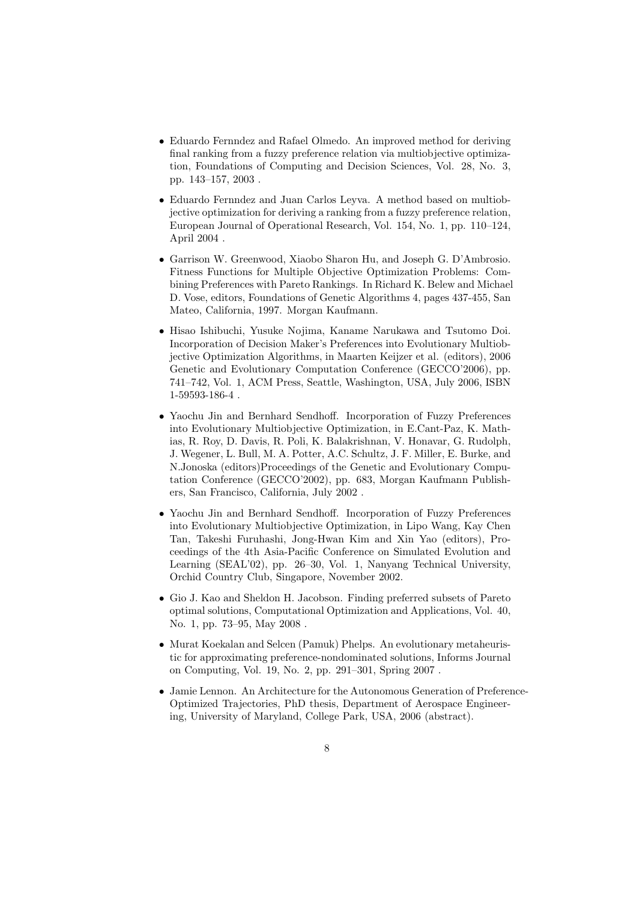- Eduardo Fernndez and Rafael Olmedo. An improved method for deriving final ranking from a fuzzy preference relation via multiobjective optimization, Foundations of Computing and Decision Sciences, Vol. 28, No. 3, pp. 143–157, 2003 .
- Eduardo Fernndez and Juan Carlos Leyva. A method based on multiobjective optimization for deriving a ranking from a fuzzy preference relation, European Journal of Operational Research, Vol. 154, No. 1, pp. 110–124, April 2004 .
- Garrison W. Greenwood, Xiaobo Sharon Hu, and Joseph G. D'Ambrosio. Fitness Functions for Multiple Objective Optimization Problems: Combining Preferences with Pareto Rankings. In Richard K. Belew and Michael D. Vose, editors, Foundations of Genetic Algorithms 4, pages 437-455, San Mateo, California, 1997. Morgan Kaufmann.
- Hisao Ishibuchi, Yusuke Nojima, Kaname Narukawa and Tsutomo Doi. Incorporation of Decision Maker's Preferences into Evolutionary Multiobjective Optimization Algorithms, in Maarten Keijzer et al. (editors), 2006 Genetic and Evolutionary Computation Conference (GECCO'2006), pp. 741–742, Vol. 1, ACM Press, Seattle, Washington, USA, July 2006, ISBN 1-59593-186-4 .
- Yaochu Jin and Bernhard Sendhoff. Incorporation of Fuzzy Preferences into Evolutionary Multiobjective Optimization, in E.Cant-Paz, K. Mathias, R. Roy, D. Davis, R. Poli, K. Balakrishnan, V. Honavar, G. Rudolph, J. Wegener, L. Bull, M. A. Potter, A.C. Schultz, J. F. Miller, E. Burke, and N.Jonoska (editors)Proceedings of the Genetic and Evolutionary Computation Conference (GECCO'2002), pp. 683, Morgan Kaufmann Publishers, San Francisco, California, July 2002 .
- Yaochu Jin and Bernhard Sendhoff. Incorporation of Fuzzy Preferences into Evolutionary Multiobjective Optimization, in Lipo Wang, Kay Chen Tan, Takeshi Furuhashi, Jong-Hwan Kim and Xin Yao (editors), Proceedings of the 4th Asia-Pacific Conference on Simulated Evolution and Learning (SEAL'02), pp. 26–30, Vol. 1, Nanyang Technical University, Orchid Country Club, Singapore, November 2002.
- Gio J. Kao and Sheldon H. Jacobson. Finding preferred subsets of Pareto optimal solutions, Computational Optimization and Applications, Vol. 40, No. 1, pp. 73–95, May 2008 .
- Murat Koekalan and Selcen (Pamuk) Phelps. An evolutionary metaheuristic for approximating preference-nondominated solutions, Informs Journal on Computing, Vol. 19, No. 2, pp. 291–301, Spring 2007 .
- Jamie Lennon. An Architecture for the Autonomous Generation of Preference-Optimized Trajectories, PhD thesis, Department of Aerospace Engineering, University of Maryland, College Park, USA, 2006 (abstract).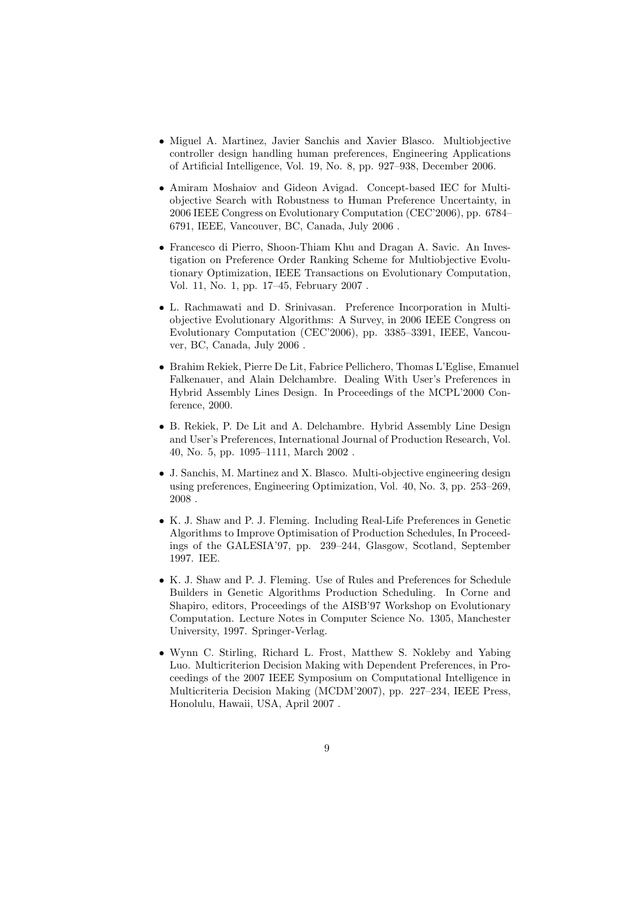- Miguel A. Martinez, Javier Sanchis and Xavier Blasco. Multiobjective controller design handling human preferences, Engineering Applications of Artificial Intelligence, Vol. 19, No. 8, pp. 927–938, December 2006.
- Amiram Moshaiov and Gideon Avigad. Concept-based IEC for Multiobjective Search with Robustness to Human Preference Uncertainty, in 2006 IEEE Congress on Evolutionary Computation (CEC'2006), pp. 6784– 6791, IEEE, Vancouver, BC, Canada, July 2006 .
- Francesco di Pierro, Shoon-Thiam Khu and Dragan A. Savic. An Investigation on Preference Order Ranking Scheme for Multiobjective Evolutionary Optimization, IEEE Transactions on Evolutionary Computation, Vol. 11, No. 1, pp. 17–45, February 2007 .
- L. Rachmawati and D. Srinivasan. Preference Incorporation in Multiobjective Evolutionary Algorithms: A Survey, in 2006 IEEE Congress on Evolutionary Computation (CEC'2006), pp. 3385–3391, IEEE, Vancouver, BC, Canada, July 2006 .
- Brahim Rekiek, Pierre De Lit, Fabrice Pellichero, Thomas L'Eglise, Emanuel Falkenauer, and Alain Delchambre. Dealing With User's Preferences in Hybrid Assembly Lines Design. In Proceedings of the MCPL'2000 Conference, 2000.
- B. Rekiek, P. De Lit and A. Delchambre. Hybrid Assembly Line Design and User's Preferences, International Journal of Production Research, Vol. 40, No. 5, pp. 1095–1111, March 2002 .
- J. Sanchis, M. Martinez and X. Blasco. Multi-objective engineering design using preferences, Engineering Optimization, Vol. 40, No. 3, pp. 253–269, 2008 .
- K. J. Shaw and P. J. Fleming. Including Real-Life Preferences in Genetic Algorithms to Improve Optimisation of Production Schedules, In Proceedings of the GALESIA'97, pp. 239–244, Glasgow, Scotland, September 1997. IEE.
- K. J. Shaw and P. J. Fleming. Use of Rules and Preferences for Schedule Builders in Genetic Algorithms Production Scheduling. In Corne and Shapiro, editors, Proceedings of the AISB'97 Workshop on Evolutionary Computation. Lecture Notes in Computer Science No. 1305, Manchester University, 1997. Springer-Verlag.
- Wynn C. Stirling, Richard L. Frost, Matthew S. Nokleby and Yabing Luo. Multicriterion Decision Making with Dependent Preferences, in Proceedings of the 2007 IEEE Symposium on Computational Intelligence in Multicriteria Decision Making (MCDM'2007), pp. 227–234, IEEE Press, Honolulu, Hawaii, USA, April 2007 .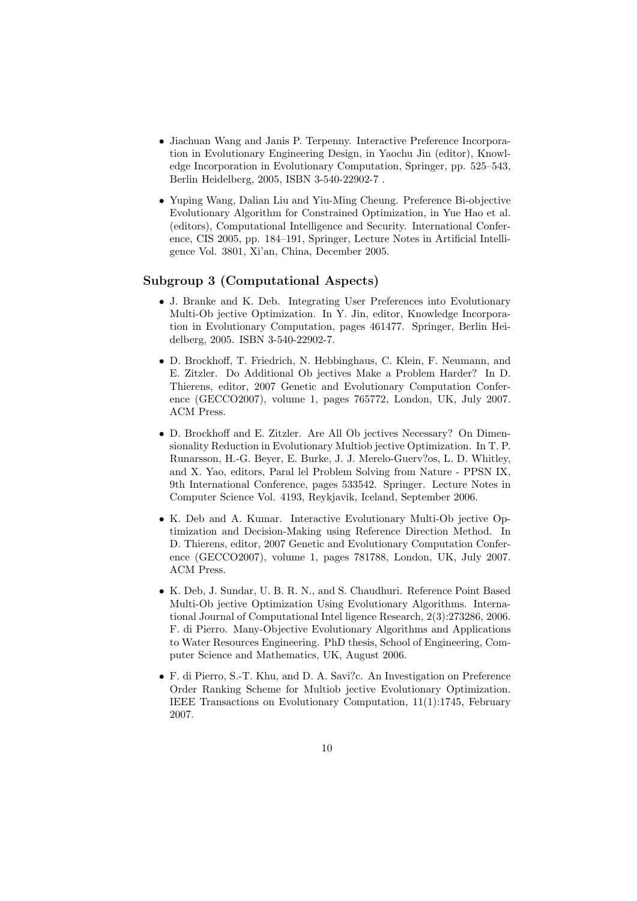- Jiachuan Wang and Janis P. Terpenny. Interactive Preference Incorporation in Evolutionary Engineering Design, in Yaochu Jin (editor), Knowledge Incorporation in Evolutionary Computation, Springer, pp. 525–543, Berlin Heidelberg, 2005, ISBN 3-540-22902-7 .
- Yuping Wang, Dalian Liu and Yiu-Ming Cheung. Preference Bi-objective Evolutionary Algorithm for Constrained Optimization, in Yue Hao et al. (editors), Computational Intelligence and Security. International Conference, CIS 2005, pp. 184–191, Springer, Lecture Notes in Artificial Intelligence Vol. 3801, Xi'an, China, December 2005.

#### Subgroup 3 (Computational Aspects)

- J. Branke and K. Deb. Integrating User Preferences into Evolutionary Multi-Ob jective Optimization. In Y. Jin, editor, Knowledge Incorporation in Evolutionary Computation, pages 461477. Springer, Berlin Heidelberg, 2005. ISBN 3-540-22902-7.
- D. Brockhoff, T. Friedrich, N. Hebbinghaus, C. Klein, F. Neumann, and E. Zitzler. Do Additional Ob jectives Make a Problem Harder? In D. Thierens, editor, 2007 Genetic and Evolutionary Computation Conference (GECCO2007), volume 1, pages 765772, London, UK, July 2007. ACM Press.
- D. Brockhoff and E. Zitzler. Are All Ob jectives Necessary? On Dimensionality Reduction in Evolutionary Multiob jective Optimization. In T. P. Runarsson, H.-G. Beyer, E. Burke, J. J. Merelo-Guerv?os, L. D. Whitley, and X. Yao, editors, Paral lel Problem Solving from Nature - PPSN IX, 9th International Conference, pages 533542. Springer. Lecture Notes in Computer Science Vol. 4193, Reykjavik, Iceland, September 2006.
- K. Deb and A. Kumar. Interactive Evolutionary Multi-Ob jective Optimization and Decision-Making using Reference Direction Method. In D. Thierens, editor, 2007 Genetic and Evolutionary Computation Conference (GECCO2007), volume 1, pages 781788, London, UK, July 2007. ACM Press.
- K. Deb, J. Sundar, U. B. R. N., and S. Chaudhuri. Reference Point Based Multi-Ob jective Optimization Using Evolutionary Algorithms. International Journal of Computational Intel ligence Research, 2(3):273286, 2006. F. di Pierro. Many-Objective Evolutionary Algorithms and Applications to Water Resources Engineering. PhD thesis, School of Engineering, Computer Science and Mathematics, UK, August 2006.
- F. di Pierro, S.-T. Khu, and D. A. Savi?c. An Investigation on Preference Order Ranking Scheme for Multiob jective Evolutionary Optimization. IEEE Transactions on Evolutionary Computation, 11(1):1745, February 2007.